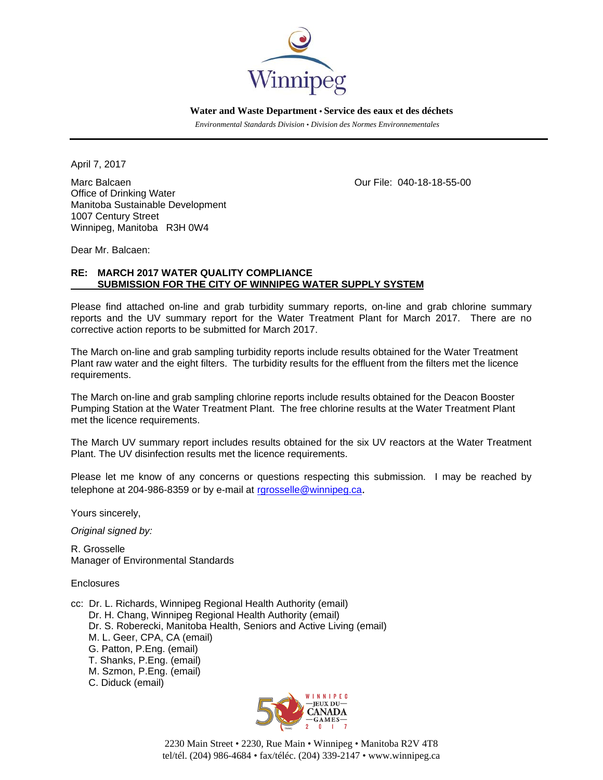

 **Water and Waste Department • Service des eaux et des déchets**

 *Environmental Standards Division • Division des Normes Environnementales* 

April 7, 2017

Marc Balcaen **Our File: 040-18-18-55-00** Office of Drinking Water Manitoba Sustainable Development 1007 Century Street Winnipeg, Manitoba R3H 0W4

Dear Mr. Balcaen:

## **RE: MARCH 2017 WATER QUALITY COMPLIANCE SUBMISSION FOR THE CITY OF WINNIPEG WATER SUPPLY SYSTEM**

Please find attached on-line and grab turbidity summary reports, on-line and grab chlorine summary reports and the UV summary report for the Water Treatment Plant for March 2017. There are no corrective action reports to be submitted for March 2017.

The March on-line and grab sampling turbidity reports include results obtained for the Water Treatment Plant raw water and the eight filters. The turbidity results for the effluent from the filters met the licence requirements.

The March on-line and grab sampling chlorine reports include results obtained for the Deacon Booster Pumping Station at the Water Treatment Plant. The free chlorine results at the Water Treatment Plant met the licence requirements.

The March UV summary report includes results obtained for the six UV reactors at the Water Treatment Plant. The UV disinfection results met the licence requirements.

Please let me know of any concerns or questions respecting this submission. I may be reached by telephone at 204-986-8359 or by e-mail at rgrosselle@winnipeg.ca.

Yours sincerely,

*Original signed by:* 

R. Grosselle Manager of Environmental Standards

Enclosures

- cc: Dr. L. Richards, Winnipeg Regional Health Authority (email) Dr. H. Chang, Winnipeg Regional Health Authority (email) Dr. S. Roberecki, Manitoba Health, Seniors and Active Living (email) M. L. Geer, CPA, CA (email) G. Patton, P.Eng. (email) T. Shanks, P.Eng. (email) M. Szmon, P.Eng. (email)
	- C. Diduck (email)



2230 Main Street • 2230, Rue Main • Winnipeg • Manitoba R2V 4T8 tel/tél. (204) 986-4684 • fax/téléc. (204) 339-2147 • www.winnipeg.ca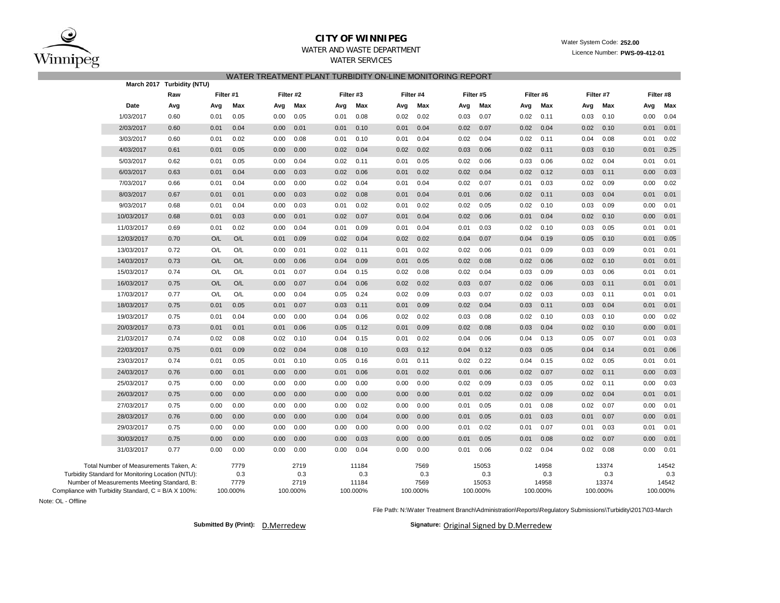

## **CITY OF WINNIPEG**WATER AND WASTE DEPARTMENT

Licence Number: **PWS-09-412-01**

# WATER SERVICESWATER TREATMENT PLANT TURBIDITY ON-LINE MONITORING REPORT

|                                                     | March 2017 Turbidity (NTU) |           |          |      |           |           |          |      |           |      |           |      |           |      |           |      |            |  |
|-----------------------------------------------------|----------------------------|-----------|----------|------|-----------|-----------|----------|------|-----------|------|-----------|------|-----------|------|-----------|------|------------|--|
|                                                     | Raw                        | Filter #1 |          |      | Filter #2 | Filter #3 |          |      | Filter #4 |      | Filter #5 |      | Filter #6 |      | Filter #7 |      | Filter #8  |  |
| Date                                                | Avg                        | Avg       | Max      | Avg  | Max       | Avg       | Max      | Avg  | Max       | Avg  | Max       | Avg  | Max       | Avg  | Max       |      | Max<br>Avg |  |
| 1/03/2017                                           | 0.60                       | 0.01      | 0.05     | 0.00 | 0.05      | 0.01      | 0.08     | 0.02 | 0.02      | 0.03 | 0.07      | 0.02 | 0.11      | 0.03 | 0.10      | 0.00 | 0.04       |  |
| 2/03/2017                                           | 0.60                       | 0.01      | 0.04     | 0.00 | 0.01      | 0.01      | 0.10     | 0.01 | 0.04      | 0.02 | 0.07      | 0.02 | 0.04      | 0.02 | 0.10      | 0.01 | 0.01       |  |
| 3/03/2017                                           | 0.60                       | 0.01      | 0.02     | 0.00 | 0.08      | 0.01      | 0.10     | 0.01 | 0.04      | 0.02 | 0.04      | 0.02 | 0.11      | 0.04 | 0.08      | 0.01 | 0.02       |  |
| 4/03/2017                                           | 0.61                       | 0.01      | 0.05     | 0.00 | 0.00      | 0.02      | 0.04     | 0.02 | 0.02      | 0.03 | 0.06      | 0.02 | 0.11      | 0.03 | 0.10      | 0.01 | 0.25       |  |
| 5/03/2017                                           | 0.62                       | 0.01      | 0.05     | 0.00 | 0.04      | 0.02      | 0.11     | 0.01 | 0.05      | 0.02 | 0.06      | 0.03 | 0.06      | 0.02 | 0.04      | 0.01 | 0.01       |  |
| 6/03/2017                                           | 0.63                       | 0.01      | 0.04     | 0.00 | 0.03      | 0.02      | 0.06     | 0.01 | 0.02      | 0.02 | 0.04      | 0.02 | 0.12      | 0.03 | 0.11      | 0.00 | 0.03       |  |
| 7/03/2017                                           | 0.66                       | 0.01      | 0.04     | 0.00 | 0.00      | 0.02      | 0.04     | 0.01 | 0.04      | 0.02 | 0.07      | 0.01 | 0.03      | 0.02 | 0.09      | 0.00 | 0.02       |  |
| 8/03/2017                                           | 0.67                       | 0.01      | 0.01     | 0.00 | 0.03      | 0.02      | 0.08     | 0.01 | 0.04      | 0.01 | 0.06      | 0.02 | 0.11      | 0.03 | 0.04      | 0.01 | 0.01       |  |
| 9/03/2017                                           | 0.68                       | 0.01      | 0.04     | 0.00 | 0.03      | 0.01      | 0.02     | 0.01 | 0.02      | 0.02 | 0.05      | 0.02 | 0.10      | 0.03 | 0.09      | 0.00 | 0.01       |  |
| 10/03/2017                                          | 0.68                       | 0.01      | 0.03     | 0.00 | 0.01      | 0.02      | 0.07     | 0.01 | 0.04      | 0.02 | 0.06      | 0.01 | 0.04      | 0.02 | 0.10      | 0.00 | 0.01       |  |
| 11/03/2017                                          | 0.69                       | 0.01      | 0.02     | 0.00 | 0.04      | 0.01      | 0.09     | 0.01 | 0.04      | 0.01 | 0.03      | 0.02 | 0.10      | 0.03 | 0.05      | 0.01 | 0.01       |  |
| 12/03/2017                                          | 0.70                       | O/L       | O/L      | 0.01 | 0.09      | 0.02      | 0.04     | 0.02 | 0.02      | 0.04 | 0.07      | 0.04 | 0.19      | 0.05 | 0.10      | 0.01 | 0.05       |  |
| 13/03/2017                                          | 0.72                       | O/L       | O/L      | 0.00 | 0.01      | 0.02      | 0.11     | 0.01 | 0.02      | 0.02 | 0.06      | 0.01 | 0.09      | 0.03 | 0.09      | 0.01 | 0.01       |  |
| 14/03/2017                                          | 0.73                       | O/L       | O/L      | 0.00 | 0.06      | 0.04      | 0.09     | 0.01 | 0.05      | 0.02 | 0.08      | 0.02 | 0.06      | 0.02 | 0.10      | 0.01 | 0.01       |  |
| 15/03/2017                                          | 0.74                       | O/L       | O/L      | 0.01 | 0.07      | 0.04      | 0.15     | 0.02 | 0.08      | 0.02 | 0.04      | 0.03 | 0.09      | 0.03 | 0.06      | 0.01 | 0.01       |  |
| 16/03/2017                                          | 0.75                       | O/L       | O/L      | 0.00 | 0.07      | 0.04      | 0.06     | 0.02 | 0.02      | 0.03 | 0.07      | 0.02 | 0.06      | 0.03 | 0.11      | 0.01 | 0.01       |  |
| 17/03/2017                                          | 0.77                       | O/L       | O/L      | 0.00 | 0.04      | 0.05      | 0.24     | 0.02 | 0.09      | 0.03 | 0.07      | 0.02 | 0.03      | 0.03 | 0.11      | 0.01 | 0.01       |  |
| 18/03/2017                                          | 0.75                       | 0.01      | 0.05     | 0.01 | 0.07      | 0.03      | 0.11     | 0.01 | 0.09      | 0.02 | 0.04      | 0.03 | 0.11      | 0.03 | 0.04      | 0.01 | 0.01       |  |
| 19/03/2017                                          | 0.75                       | 0.01      | 0.04     | 0.00 | 0.00      | 0.04      | 0.06     | 0.02 | 0.02      | 0.03 | 0.08      | 0.02 | 0.10      | 0.03 | 0.10      | 0.00 | 0.02       |  |
| 20/03/2017                                          | 0.73                       | 0.01      | 0.01     | 0.01 | 0.06      | 0.05      | 0.12     | 0.01 | 0.09      | 0.02 | 0.08      | 0.03 | 0.04      | 0.02 | 0.10      | 0.00 | 0.01       |  |
| 21/03/2017                                          | 0.74                       | 0.02      | 0.08     | 0.02 | 0.10      | 0.04      | 0.15     | 0.01 | 0.02      | 0.04 | 0.06      | 0.04 | 0.13      | 0.05 | 0.07      | 0.01 | 0.03       |  |
| 22/03/2017                                          | 0.75                       | 0.01      | 0.09     | 0.02 | 0.04      | 0.08      | 0.10     | 0.03 | 0.12      | 0.04 | 0.12      | 0.03 | 0.05      | 0.04 | 0.14      | 0.01 | 0.06       |  |
| 23/03/2017                                          | 0.74                       | 0.01      | 0.05     | 0.01 | 0.10      | 0.05      | 0.16     | 0.01 | 0.11      | 0.02 | 0.22      | 0.04 | 0.15      | 0.02 | 0.05      | 0.01 | 0.01       |  |
| 24/03/2017                                          | 0.76                       | 0.00      | 0.01     | 0.00 | 0.00      | 0.01      | 0.06     | 0.01 | 0.02      | 0.01 | 0.06      | 0.02 | 0.07      | 0.02 | 0.11      | 0.00 | 0.03       |  |
| 25/03/2017                                          | 0.75                       | 0.00      | 0.00     | 0.00 | 0.00      | 0.00      | 0.00     | 0.00 | 0.00      | 0.02 | 0.09      | 0.03 | 0.05      | 0.02 | 0.11      | 0.00 | 0.03       |  |
| 26/03/2017                                          | 0.75                       | 0.00      | 0.00     | 0.00 | 0.00      | 0.00      | 0.00     | 0.00 | 0.00      | 0.01 | 0.02      | 0.02 | 0.09      | 0.02 | 0.04      | 0.01 | 0.01       |  |
| 27/03/2017                                          | 0.75                       | 0.00      | 0.00     | 0.00 | 0.00      | 0.00      | 0.02     | 0.00 | 0.00      | 0.01 | 0.05      | 0.01 | 0.08      | 0.02 | 0.07      | 0.00 | 0.01       |  |
| 28/03/2017                                          | 0.76                       | 0.00      | 0.00     | 0.00 | 0.00      | 0.00      | 0.04     | 0.00 | 0.00      | 0.01 | 0.05      | 0.01 | 0.03      | 0.01 | 0.07      | 0.00 | 0.01       |  |
| 29/03/2017                                          | 0.75                       | 0.00      | 0.00     | 0.00 | 0.00      | 0.00      | 0.00     | 0.00 | 0.00      | 0.01 | 0.02      | 0.01 | 0.07      | 0.01 | 0.03      | 0.01 | 0.01       |  |
| 30/03/2017                                          | 0.75                       | 0.00      | 0.00     | 0.00 | 0.00      | 0.00      | 0.03     | 0.00 | 0.00      | 0.01 | 0.05      | 0.01 | 0.08      | 0.02 | 0.07      | 0.00 | 0.01       |  |
| 31/03/2017                                          | 0.77                       | 0.00      | 0.00     | 0.00 | 0.00      | 0.00      | 0.04     | 0.00 | 0.00      | 0.01 | 0.06      | 0.02 | 0.04      | 0.02 | 0.08      | 0.00 | 0.01       |  |
| Total Number of Measurements Taken, A:              |                            |           | 7779     |      | 2719      |           | 11184    |      | 7569      |      | 15053     |      | 14958     |      | 13374     |      | 14542      |  |
| Turbidity Standard for Monitoring Location (NTU):   |                            |           | 0.3      |      | 0.3       |           | 0.3      |      | 0.3       |      | 0.3       |      | 0.3       |      | 0.3       |      | 0.3        |  |
| Number of Measurements Meeting Standard, B:         |                            |           | 7779     |      | 2719      |           | 11184    |      | 7569      |      | 15053     |      | 14958     |      | 13374     |      | 14542      |  |
| Compliance with Turbidity Standard, C = B/A X 100%: |                            |           | 100.000% |      | 100.000%  |           | 100.000% |      | 100.000%  |      | 100.000%  |      | 100.000%  |      | 100.000%  |      | 100.000%   |  |

Note: OL - Offline

File Path: N:\Water Treatment Branch\Administration\Reports\Regulatory Submissions\Turbidity\2017\03-March

D.Merredew**Submitted By (Print): Signature:**

Signature: Original Signed by D.Merredew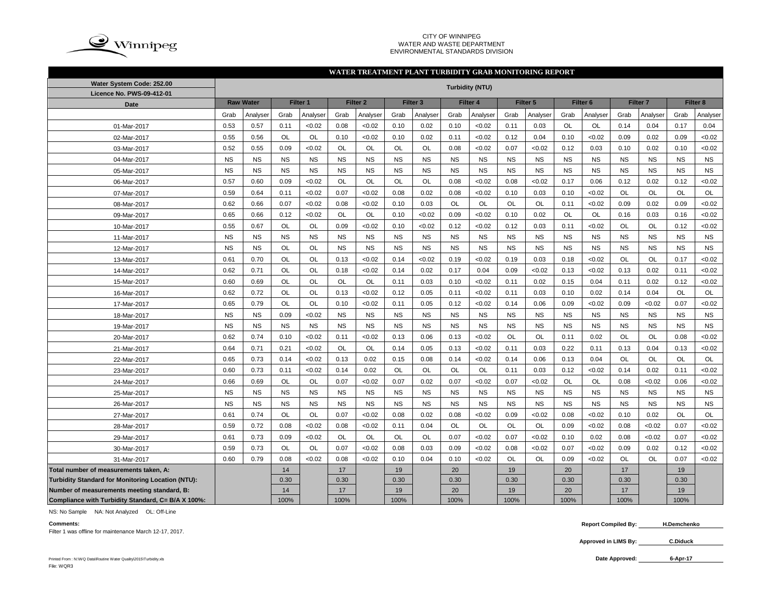

#### CITY OF WINNIPEG WATER AND WASTE DEPARTMENT ENVIRONMENTAL STANDARDS DIVISION

## **WATER TREATMENT PLANT TURBIDITY GRAB MONITORING REPORT**

| Water System Code: 252.00                          |           |                              |           |           |                     |           |           |                     |           | <b>Turbidity (NTU)</b> |           |           |                     |           |                     |           |           |           |
|----------------------------------------------------|-----------|------------------------------|-----------|-----------|---------------------|-----------|-----------|---------------------|-----------|------------------------|-----------|-----------|---------------------|-----------|---------------------|-----------|-----------|-----------|
| Licence No. PWS-09-412-01                          |           |                              |           |           |                     |           |           |                     |           |                        |           |           |                     |           |                     |           |           |           |
| <b>Date</b>                                        |           | <b>Raw Water</b><br>Filter 1 |           |           | Filter <sub>2</sub> |           |           | Filter <sub>3</sub> |           | Filter 4               |           | Filter 5  | Filter <sub>6</sub> |           | Filter <sub>7</sub> |           | Filter 8  |           |
|                                                    | Grab      | Analyser                     | Grab      | Analyser  | Grab                | Analyser  | Grab      | Analyser            | Grab      | Analyser               | Grab      | Analyser  | Grab                | Analyser  | Grab                | Analyser  | Grab      | Analyser  |
| 01-Mar-2017                                        | 0.53      | 0.57                         | 0.11      | < 0.02    | 0.08                | < 0.02    | 0.10      | 0.02                | 0.10      | < 0.02                 | 0.11      | 0.03      | <b>OL</b>           | OL        | 0.14                | 0.04      | 0.17      | 0.04      |
| 02-Mar-2017                                        | 0.55      | 0.56                         | <b>OL</b> | <b>OL</b> | 0.10                | < 0.02    | 0.10      | 0.02                | 0.11      | < 0.02                 | 0.12      | 0.04      | 0.10                | <0.02     | 0.09                | 0.02      | 0.09      | <0.02     |
| 03-Mar-2017                                        | 0.52      | 0.55                         | 0.09      | <0.02     | OL                  | OL        | OL        | OL                  | 0.08      | < 0.02                 | 0.07      | < 0.02    | 0.12                | 0.03      | 0.10                | 0.02      | 0.10      | <0.02     |
| 04-Mar-2017                                        | <b>NS</b> | <b>NS</b>                    | <b>NS</b> | <b>NS</b> | <b>NS</b>           | <b>NS</b> | <b>NS</b> | <b>NS</b>           | <b>NS</b> | <b>NS</b>              | <b>NS</b> | <b>NS</b> | <b>NS</b>           | <b>NS</b> | <b>NS</b>           | <b>NS</b> | <b>NS</b> | <b>NS</b> |
| 05-Mar-2017                                        | <b>NS</b> | <b>NS</b>                    | <b>NS</b> | <b>NS</b> | <b>NS</b>           | <b>NS</b> | <b>NS</b> | <b>NS</b>           | <b>NS</b> | <b>NS</b>              | <b>NS</b> | <b>NS</b> | <b>NS</b>           | <b>NS</b> | <b>NS</b>           | <b>NS</b> | <b>NS</b> | <b>NS</b> |
| 06-Mar-2017                                        | 0.57      | 0.60                         | 0.09      | < 0.02    | OL                  | OL        | OL        | OL                  | 0.08      | < 0.02                 | 0.08      | < 0.02    | 0.17                | 0.06      | 0.12                | 0.02      | 0.12      | <0.02     |
| 07-Mar-2017                                        | 0.59      | 0.64                         | 0.11      | < 0.02    | 0.07                | < 0.02    | 0.08      | 0.02                | 0.08      | < 0.02                 | 0.10      | 0.03      | 0.10                | < 0.02    | OL                  | OL        | OL        | OL        |
| 08-Mar-2017                                        | 0.62      | 0.66                         | 0.07      | < 0.02    | 0.08                | < 0.02    | 0.10      | 0.03                | <b>OL</b> | OL                     | <b>OL</b> | OL        | 0.11                | <0.02     | 0.09                | 0.02      | 0.09      | <0.02     |
| 09-Mar-2017                                        | 0.65      | 0.66                         | 0.12      | < 0.02    | <b>OL</b>           | <b>OL</b> | 0.10      | < 0.02              | 0.09      | < 0.02                 | 0.10      | 0.02      | <b>OL</b>           | <b>OL</b> | 0.16                | 0.03      | 0.16      | <0.02     |
| 10-Mar-2017                                        | 0.55      | 0.67                         | OL        | <b>OL</b> | 0.09                | < 0.02    | 0.10      | < 0.02              | 0.12      | < 0.02                 | 0.12      | 0.03      | 0.11                | <0.02     | <b>OL</b>           | <b>OL</b> | 0.12      | <0.02     |
| 11-Mar-2017                                        | <b>NS</b> | <b>NS</b>                    | <b>NS</b> | <b>NS</b> | <b>NS</b>           | <b>NS</b> | <b>NS</b> | <b>NS</b>           | <b>NS</b> | <b>NS</b>              | <b>NS</b> | <b>NS</b> | <b>NS</b>           | <b>NS</b> | <b>NS</b>           | <b>NS</b> | <b>NS</b> | <b>NS</b> |
| 12-Mar-2017                                        | <b>NS</b> | <b>NS</b>                    | OL        | OL        | <b>NS</b>           | <b>NS</b> | <b>NS</b> | <b>NS</b>           | <b>NS</b> | <b>NS</b>              | <b>NS</b> | <b>NS</b> | <b>NS</b>           | <b>NS</b> | <b>NS</b>           | <b>NS</b> | <b>NS</b> | <b>NS</b> |
| 13-Mar-2017                                        | 0.61      | 0.70                         | OL        | OL        | 0.13                | < 0.02    | 0.14      | < 0.02              | 0.19      | < 0.02                 | 0.19      | 0.03      | 0.18                | <0.02     | OL                  | OL        | 0.17      | <0.02     |
| 14-Mar-2017                                        | 0.62      | 0.71                         | OL        | <b>OL</b> | 0.18                | < 0.02    | 0.14      | 0.02                | 0.17      | 0.04                   | 0.09      | < 0.02    | 0.13                | <0.02     | 0.13                | 0.02      | 0.11      | <0.02     |
| 15-Mar-2017                                        | 0.60      | 0.69                         | OL        | OL        | OL                  | <b>OL</b> | 0.11      | 0.03                | 0.10      | < 0.02                 | 0.11      | 0.02      | 0.15                | 0.04      | 0.11                | 0.02      | 0.12      | <0.02     |
| 16-Mar-2017                                        | 0.62      | 0.72                         | <b>OL</b> | <b>OL</b> | 0.13                | < 0.02    | 0.12      | 0.05                | 0.11      | < 0.02                 | 0.11      | 0.03      | 0.10                | 0.02      | 0.14                | 0.04      | <b>OL</b> | OL        |
| 17-Mar-2017                                        | 0.65      | 0.79                         | OL        | <b>OL</b> | 0.10                | < 0.02    | 0.11      | 0.05                | 0.12      | < 0.02                 | 0.14      | 0.06      | 0.09                | <0.02     | 0.09                | <0.02     | 0.07      | <0.02     |
| 18-Mar-2017                                        | <b>NS</b> | <b>NS</b>                    | 0.09      | < 0.02    | <b>NS</b>           | <b>NS</b> | <b>NS</b> | <b>NS</b>           | <b>NS</b> | <b>NS</b>              | <b>NS</b> | <b>NS</b> | <b>NS</b>           | <b>NS</b> | <b>NS</b>           | <b>NS</b> | <b>NS</b> | <b>NS</b> |
| 19-Mar-2017                                        | <b>NS</b> | <b>NS</b>                    | <b>NS</b> | <b>NS</b> | <b>NS</b>           | <b>NS</b> | <b>NS</b> | <b>NS</b>           | <b>NS</b> | <b>NS</b>              | <b>NS</b> | <b>NS</b> | <b>NS</b>           | <b>NS</b> | <b>NS</b>           | <b>NS</b> | <b>NS</b> | <b>NS</b> |
| 20-Mar-2017                                        | 0.62      | 0.74                         | 0.10      | < 0.02    | 0.11                | < 0.02    | 0.13      | 0.06                | 0.13      | < 0.02                 | <b>OL</b> | OL        | 0.11                | 0.02      | <b>OL</b>           | <b>OL</b> | 0.08      | <0.02     |
| 21-Mar-2017                                        | 0.64      | 0.71                         | 0.21      | < 0.02    | OL                  | <b>OL</b> | 0.14      | 0.05                | 0.13      | < 0.02                 | 0.11      | 0.03      | 0.22                | 0.11      | 0.13                | 0.04      | 0.13      | <0.02     |
| 22-Mar-2017                                        | 0.65      | 0.73                         | 0.14      | < 0.02    | 0.13                | 0.02      | 0.15      | 0.08                | 0.14      | < 0.02                 | 0.14      | 0.06      | 0.13                | 0.04      | OL                  | OL        | OL        | OL        |
| 23-Mar-2017                                        | 0.60      | 0.73                         | 0.11      | < 0.02    | 0.14                | 0.02      | OL        | OL                  | OL        | OL                     | 0.11      | 0.03      | 0.12                | < 0.02    | 0.14                | 0.02      | 0.11      | <0.02     |
| 24-Mar-2017                                        | 0.66      | 0.69                         | OL        | OL        | 0.07                | < 0.02    | 0.07      | 0.02                | 0.07      | < 0.02                 | 0.07      | < 0.02    | OL                  | OL        | 0.08                | <0.02     | 0.06      | <0.02     |
| 25-Mar-2017                                        | <b>NS</b> | <b>NS</b>                    | <b>NS</b> | <b>NS</b> | <b>NS</b>           | <b>NS</b> | <b>NS</b> | <b>NS</b>           | <b>NS</b> | <b>NS</b>              | <b>NS</b> | <b>NS</b> | <b>NS</b>           | <b>NS</b> | <b>NS</b>           | <b>NS</b> | <b>NS</b> | <b>NS</b> |
| 26-Mar-2017                                        | <b>NS</b> | <b>NS</b>                    | <b>NS</b> | <b>NS</b> | <b>NS</b>           | <b>NS</b> | <b>NS</b> | <b>NS</b>           | <b>NS</b> | <b>NS</b>              | <b>NS</b> | <b>NS</b> | <b>NS</b>           | <b>NS</b> | <b>NS</b>           | <b>NS</b> | <b>NS</b> | <b>NS</b> |
| 27-Mar-2017                                        | 0.61      | 0.74                         | OL        | <b>OL</b> | 0.07                | < 0.02    | 0.08      | 0.02                | 0.08      | < 0.02                 | 0.09      | < 0.02    | 0.08                | <0.02     | 0.10                | 0.02      | <b>OL</b> | <b>OL</b> |
| 28-Mar-2017                                        | 0.59      | 0.72                         | 0.08      | < 0.02    | 0.08                | < 0.02    | 0.11      | 0.04                | OL        | OL                     | OL        | OL        | 0.09                | <0.02     | 0.08                | <0.02     | 0.07      | <0.02     |
| 29-Mar-2017                                        | 0.61      | 0.73                         | 0.09      | < 0.02    | OL                  | OL        | OL        | OL                  | 0.07      | < 0.02                 | 0.07      | < 0.02    | 0.10                | 0.02      | 0.08                | <0.02     | 0.07      | <0.02     |
| 30-Mar-2017                                        | 0.59      | 0.73                         | OL        | <b>OL</b> | 0.07                | <0.02     | 0.08      | 0.03                | 0.09      | < 0.02                 | 0.08      | < 0.02    | 0.07                | <0.02     | 0.09                | 0.02      | 0.12      | <0.02     |
| 31-Mar-2017                                        | 0.60      | 0.79                         | 0.08      | < 0.02    | 0.08                | < 0.02    | 0.10      | 0.04                | 0.10      | < 0.02                 | OL        | OL        | 0.09                | <0.02     | OL                  | <b>OL</b> | 0.07      | <0.02     |
| Total number of measurements taken, A:             |           |                              | 14        |           | 17                  |           | 19        |                     | 20        |                        | 19        |           | 20                  |           | 17                  |           | 19        |           |
| Turbidity Standard for Monitoring Location (NTU):  |           |                              | 0.30      |           | 0.30                |           | 0.30      |                     | 0.30      |                        | 0.30      |           | 0.30                |           | 0.30                |           | 0.30      |           |
| Number of measurements meeting standard, B:        |           |                              | 14        |           | 17                  |           | 19        |                     | 20        |                        | 19        |           | 20                  |           | 17                  |           | 19        |           |
| Compliance with Turbidity Standard, C= B/A X 100%: |           |                              | 100%      |           | 100%                |           | 100%      |                     | 100%      |                        | 100%      |           | 100%                |           | 100%                |           | 100%      |           |

NS: No Sample NA: Not Analyzed OL: Off-Line

Filter 1 was offline for maintenance March 12-17, 2017.

**Comments: Report Compiled By: H.Demchenko**

> **Approved in LIMS By: C.Diduck**

Printed From : N:\WQ Data\Routine Water Quality\2015\Turbidity.xls **Date Approved:** File: WQR3

**6-Apr-17**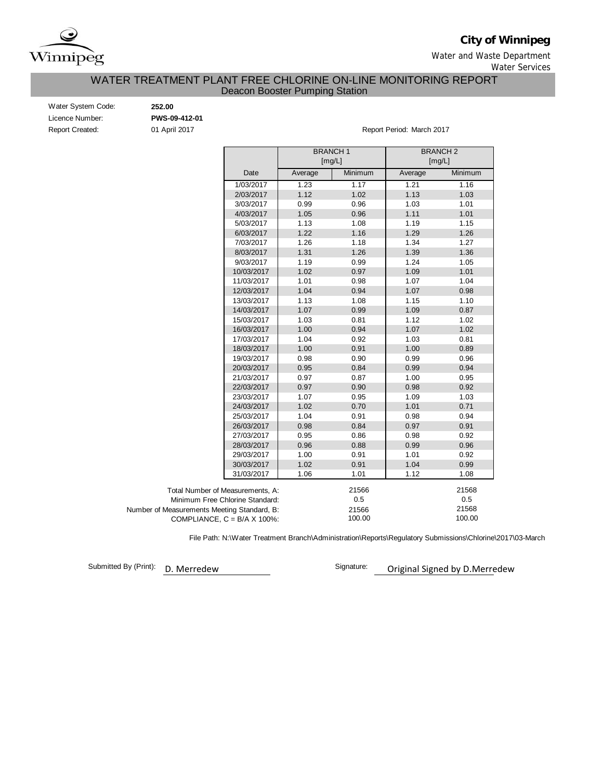

**City of Winnipeg**

Water and Waste Department

Water Services

# Deacon Booster Pumping Station WATER TREATMENT PLANT FREE CHLORINE ON-LINE MONITORING REPORT

| Water System Code:     |  |
|------------------------|--|
| Licence Number:        |  |
| <b>Report Created:</b> |  |

Water System Code: **252.00** Licence Number: **PWS-09-412-01**

01 April 2017 **Report Period: March 2017** 

|                                             |         | <b>BRANCH1</b><br>[mg/L] | <b>BRANCH 2</b><br>[mg/L] |         |
|---------------------------------------------|---------|--------------------------|---------------------------|---------|
| Date                                        | Average | Minimum                  | Average                   | Minimum |
| 1/03/2017                                   | 1.23    | 1.17                     | 1.21                      | 1.16    |
| 2/03/2017                                   | 1.12    | 1.02                     | 1.13                      | 1.03    |
| 3/03/2017                                   | 0.99    | 0.96                     | 1.03                      | 1.01    |
| 4/03/2017                                   | 1.05    | 0.96                     | 1.11                      | 1.01    |
| 5/03/2017                                   | 1.13    | 1.08                     | 1.19                      | 1.15    |
| 6/03/2017                                   | 1.22    | 1.16                     | 1.29                      | 1.26    |
| 7/03/2017                                   | 1.26    | 1.18                     | 1.34                      | 1.27    |
| 8/03/2017                                   | 1.31    | 1.26                     | 1.39                      | 1.36    |
| 9/03/2017                                   | 1.19    | 0.99                     | 1.24                      | 1.05    |
| 10/03/2017                                  | 1.02    | 0.97                     | 1.09                      | 1.01    |
| 11/03/2017                                  | 1.01    | 0.98                     | 1.07                      | 1.04    |
| 12/03/2017                                  | 1.04    | 0.94                     | 1.07                      | 0.98    |
| 13/03/2017                                  | 1.13    | 1.08                     | 1.15                      | 1.10    |
| 14/03/2017                                  | 1.07    | 0.99                     | 1.09                      | 0.87    |
| 15/03/2017                                  | 1.03    | 0.81                     | 1.12                      | 1.02    |
| 16/03/2017                                  | 1.00    | 0.94                     | 1.07                      | 1.02    |
| 17/03/2017                                  | 1.04    | 0.92                     | 1.03                      | 0.81    |
| 18/03/2017                                  | 1.00    | 0.91                     | 1.00                      | 0.89    |
| 19/03/2017                                  | 0.98    | 0.90                     | 0.99                      | 0.96    |
| 20/03/2017                                  | 0.95    | 0.84                     | 0.99                      | 0.94    |
| 21/03/2017                                  | 0.97    | 0.87                     | 1.00                      | 0.95    |
| 22/03/2017                                  | 0.97    | 0.90                     | 0.98                      | 0.92    |
| 23/03/2017                                  | 1.07    | 0.95                     | 1.09                      | 1.03    |
| 24/03/2017                                  | 1.02    | 0.70                     | 1.01                      | 0.71    |
| 25/03/2017                                  | 1.04    | 0.91                     | 0.98                      | 0.94    |
| 26/03/2017                                  | 0.98    | 0.84                     | 0.97                      | 0.91    |
| 27/03/2017                                  | 0.95    | 0.86                     | 0.98                      | 0.92    |
| 28/03/2017                                  | 0.96    | 0.88                     | 0.99                      | 0.96    |
| 29/03/2017                                  | 1.00    | 0.91                     | 1.01                      | 0.92    |
| 30/03/2017                                  | 1.02    | 0.91                     | 1.04                      | 0.99    |
| 31/03/2017                                  | 1.06    | 1.01                     | 1.12                      | 1.08    |
| Total Number of Measurements, A:            |         | 21566                    |                           | 21568   |
| Minimum Free Chlorine Standard:             |         | 0.5                      |                           | 0.5     |
| Number of Measurements Meeting Standard, B: |         | 21566                    |                           | 21568   |
| COMPLIANCE, $C = B/A \times 100\%$ :        |         | 100.00                   |                           | 100.00  |

File Path: N:\Water Treatment Branch\Administration\Reports\Regulatory Submissions\Chlorine\2017\03-March

Submitted By (Print):

D. Merredew **D. Merredew** Signature: **Demand Strategier Constructs**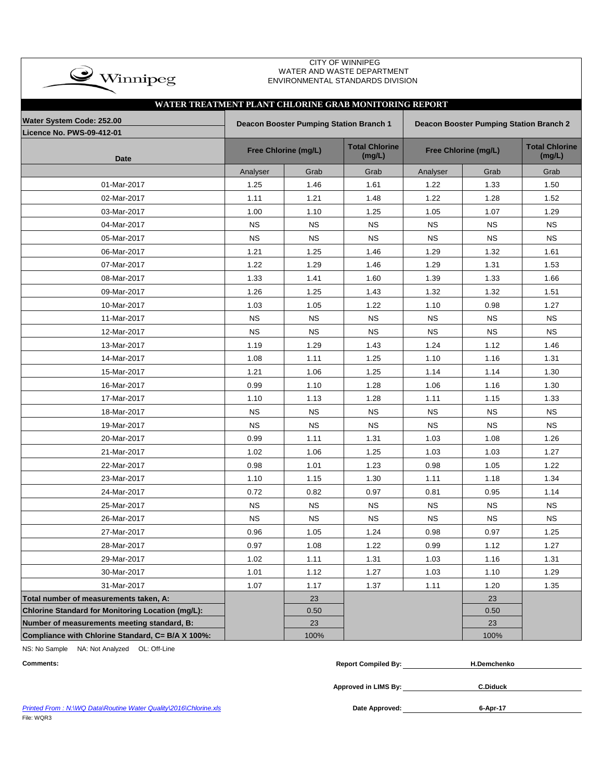| <b>CITY OF WINNIPEG</b><br>WATER AND WASTE DEPARTMENT<br>$\rightarrow$ Winnipeg<br>ENVIRONMENTAL STANDARDS DIVISION |           |                                         |                                 |                                                |                      |                                 |  |  |  |  |  |  |  |
|---------------------------------------------------------------------------------------------------------------------|-----------|-----------------------------------------|---------------------------------|------------------------------------------------|----------------------|---------------------------------|--|--|--|--|--|--|--|
| WATER TREATMENT PLANT CHLORINE GRAB MONITORING REPORT                                                               |           |                                         |                                 |                                                |                      |                                 |  |  |  |  |  |  |  |
| Water System Code: 252.00                                                                                           |           | Deacon Booster Pumping Station Branch 1 |                                 | <b>Deacon Booster Pumping Station Branch 2</b> |                      |                                 |  |  |  |  |  |  |  |
| <b>Licence No. PWS-09-412-01</b>                                                                                    |           |                                         |                                 |                                                |                      |                                 |  |  |  |  |  |  |  |
| <b>Date</b>                                                                                                         |           | Free Chlorine (mg/L)                    | <b>Total Chlorine</b><br>(mg/L) |                                                | Free Chlorine (mg/L) | <b>Total Chlorine</b><br>(mg/L) |  |  |  |  |  |  |  |
|                                                                                                                     | Analyser  | Grab                                    | Grab                            | Analyser                                       | Grab                 | Grab                            |  |  |  |  |  |  |  |
| 01-Mar-2017                                                                                                         | 1.25      | 1.46                                    | 1.61                            | 1.22                                           | 1.33                 | 1.50                            |  |  |  |  |  |  |  |
| 02-Mar-2017                                                                                                         | 1.11      | 1.21                                    | 1.48                            | 1.22                                           | 1.28                 | 1.52                            |  |  |  |  |  |  |  |
| 03-Mar-2017                                                                                                         | 1.00      | 1.10                                    | 1.25                            | 1.05                                           | 1.07                 | 1.29                            |  |  |  |  |  |  |  |
| 04-Mar-2017                                                                                                         | <b>NS</b> | <b>NS</b>                               | <b>NS</b>                       | <b>NS</b>                                      | <b>NS</b>            | <b>NS</b>                       |  |  |  |  |  |  |  |
| 05-Mar-2017                                                                                                         | <b>NS</b> | <b>NS</b>                               | <b>NS</b>                       | <b>NS</b>                                      | <b>NS</b>            | <b>NS</b>                       |  |  |  |  |  |  |  |
| 06-Mar-2017                                                                                                         | 1.21      | 1.25                                    | 1.46                            | 1.29                                           | 1.32                 | 1.61                            |  |  |  |  |  |  |  |
| 07-Mar-2017                                                                                                         | 1.22      | 1.29                                    | 1.46                            | 1.29                                           | 1.31                 | 1.53                            |  |  |  |  |  |  |  |
| 08-Mar-2017                                                                                                         | 1.33      | 1.41                                    | 1.60                            | 1.39                                           | 1.33                 | 1.66                            |  |  |  |  |  |  |  |
| 09-Mar-2017                                                                                                         | 1.26      | 1.25                                    | 1.43                            | 1.32                                           | 1.32                 | 1.51                            |  |  |  |  |  |  |  |
| 10-Mar-2017                                                                                                         | 1.03      | 1.05                                    | 1.22                            | 1.10                                           | 0.98                 | 1.27                            |  |  |  |  |  |  |  |
| 11-Mar-2017                                                                                                         | <b>NS</b> | <b>NS</b>                               | <b>NS</b>                       | <b>NS</b>                                      | <b>NS</b>            | <b>NS</b>                       |  |  |  |  |  |  |  |
| 12-Mar-2017                                                                                                         | <b>NS</b> | <b>NS</b>                               | <b>NS</b>                       | <b>NS</b>                                      | <b>NS</b>            | <b>NS</b>                       |  |  |  |  |  |  |  |
| 13-Mar-2017                                                                                                         | 1.19      | 1.29                                    | 1.43                            | 1.24                                           | 1.12                 | 1.46                            |  |  |  |  |  |  |  |
| 14-Mar-2017                                                                                                         | 1.08      | 1.11                                    | 1.25                            | 1.10                                           | 1.16                 | 1.31                            |  |  |  |  |  |  |  |
| 15-Mar-2017                                                                                                         | 1.21      | 1.06                                    | 1.25                            | 1.14                                           | 1.14                 | 1.30                            |  |  |  |  |  |  |  |
| 16-Mar-2017                                                                                                         | 0.99      | 1.10                                    | 1.28                            | 1.06                                           | 1.16                 | 1.30                            |  |  |  |  |  |  |  |
| 17-Mar-2017                                                                                                         | 1.10      | 1.13                                    | 1.28                            | 1.11                                           | 1.15                 | 1.33                            |  |  |  |  |  |  |  |
| 18-Mar-2017                                                                                                         | <b>NS</b> | <b>NS</b>                               | ΝS                              | <b>NS</b>                                      | <b>NS</b>            | <b>NS</b>                       |  |  |  |  |  |  |  |
| 19-Mar-2017                                                                                                         | <b>NS</b> | <b>NS</b>                               | <b>NS</b>                       | <b>NS</b>                                      | <b>NS</b>            | <b>NS</b>                       |  |  |  |  |  |  |  |
| 20-Mar-2017                                                                                                         | 0.99      | 1.11                                    | 1.31                            | 1.03                                           | 1.08                 | 1.26                            |  |  |  |  |  |  |  |
| 21-Mar-2017                                                                                                         | 1.02      | 1.06                                    | 1.25                            | 1.03                                           | 1.03                 | 1.27                            |  |  |  |  |  |  |  |
| 22-Mar-2017                                                                                                         | 0.98      | 1.01                                    | 1.23                            | 0.98                                           | 1.05                 | 1.22                            |  |  |  |  |  |  |  |
| 23-Mar-2017                                                                                                         | 1.10      | 1.15                                    | 1.30                            | 1.11                                           | 1.18                 | 1.34                            |  |  |  |  |  |  |  |
| 24-Mar-2017                                                                                                         | 0.72      | 0.82                                    | 0.97                            | 0.81                                           | 0.95                 | 1.14                            |  |  |  |  |  |  |  |
| 25-Mar-2017                                                                                                         | ΝS        | NS                                      | <b>NS</b>                       | <b>NS</b>                                      | <b>NS</b>            | <b>NS</b>                       |  |  |  |  |  |  |  |
| 26-Mar-2017                                                                                                         | <b>NS</b> | <b>NS</b>                               | <b>NS</b>                       | <b>NS</b>                                      | <b>NS</b>            | <b>NS</b>                       |  |  |  |  |  |  |  |
| 27-Mar-2017                                                                                                         | 0.96      | 1.05                                    | 1.24                            | 0.98                                           | 0.97                 | 1.25                            |  |  |  |  |  |  |  |
| 28-Mar-2017                                                                                                         | 0.97      | 1.08                                    | 1.22                            | 0.99                                           | 1.12                 | 1.27                            |  |  |  |  |  |  |  |
| 29-Mar-2017                                                                                                         | 1.02      | 1.11                                    | 1.31                            | 1.03                                           | 1.16                 | 1.31                            |  |  |  |  |  |  |  |
| 30-Mar-2017                                                                                                         | 1.01      | 1.12                                    | 1.27                            | 1.03                                           | 1.10                 | 1.29                            |  |  |  |  |  |  |  |
| 31-Mar-2017                                                                                                         | 1.07      | 1.17                                    | 1.37                            | 1.11                                           | 1.20                 | 1.35                            |  |  |  |  |  |  |  |
| Total number of measurements taken, A:                                                                              |           | 23                                      |                                 |                                                | 23                   |                                 |  |  |  |  |  |  |  |
| Chlorine Standard for Monitoring Location (mg/L):                                                                   |           | 0.50                                    |                                 |                                                | 0.50                 |                                 |  |  |  |  |  |  |  |
| Number of measurements meeting standard, B:                                                                         |           | 23                                      |                                 |                                                | 23                   |                                 |  |  |  |  |  |  |  |
| Compliance with Chlorine Standard, C= B/A X 100%:                                                                   |           | 100%                                    |                                 |                                                | 100%                 |                                 |  |  |  |  |  |  |  |

NS: No Sample NA: Not Analyzed OL: Off-Line

| <b>Comments:</b> | <b>Report Compiled By:</b> | <b>H.Demchenko</b> |
|------------------|----------------------------|--------------------|
|                  | Approved in LIMS By:       | <b>C.Diduck</b>    |
|                  |                            |                    |

**Printed From : N:\WQ Data\Routine Water Quality\2016\Chlorine.xls** File: WQR3

Date Approved: 6-Apr-17